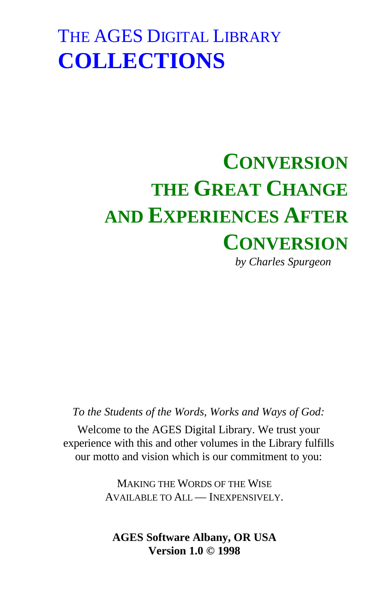# **CONVERSION THE GREAT CHANGE AND EXPERIENCES AFTER CONVERSION**

*by Charles Spurgeon*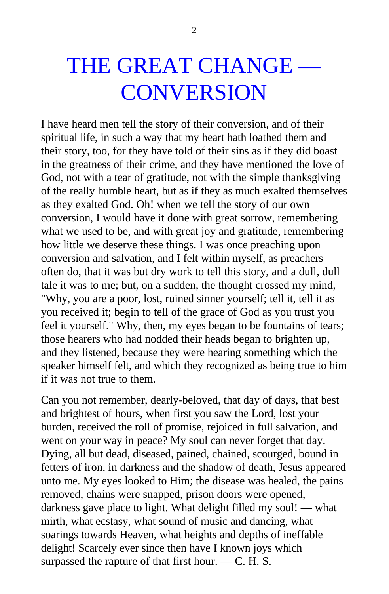# THE GREAT CHANGE — **CONVERSION**

I have heard men tell the story of their conversion, and of their spiritual life, in such a way that my heart hath loathed them and their story, too, for they have told of their sins as if they did boast in the greatness of their crime, and they have mentioned the love of God, not with a tear of gratitude, not with the simple thanksgiving of the really humble heart, but as if they as much exalted themselves as they exalted God. Oh! when we tell the story of our own conversion, I would have it done with great sorrow, remembering what we used to be, and with great joy and gratitude, remembering how little we deserve these things. I was once preaching upon conversion and salvation, and I felt within myself, as preachers often do, that it was but dry work to tell this story, and a dull, dull tale it was to me; but, on a sudden, the thought crossed my mind, "Why, you are a poor, lost, ruined sinner yourself; tell it, tell it as you received it; begin to tell of the grace of God as you trust you feel it yourself." Why, then, my eyes began to be fountains of tears; those hearers who had nodded their heads began to brighten up, and they listened, because they were hearing something which the speaker himself felt, and which they recognized as being true to him if it was not true to them.

Can you not remember, dearly-beloved, that day of days, that best and brightest of hours, when first you saw the Lord, lost your burden, received the roll of promise, rejoiced in full salvation, and went on your way in peace? My soul can never forget that day. Dying, all but dead, diseased, pained, chained, scourged, bound in fetters of iron, in darkness and the shadow of death, Jesus appeared unto me. My eyes looked to Him; the disease was healed, the pains removed, chains were snapped, prison doors were opened, darkness gave place to light. What delight filled my soul! — what mirth, what ecstasy, what sound of music and dancing, what soarings towards Heaven, what heights and depths of ineffable delight! Scarcely ever since then have I known joys which surpassed the rapture of that first hour. — C. H. S.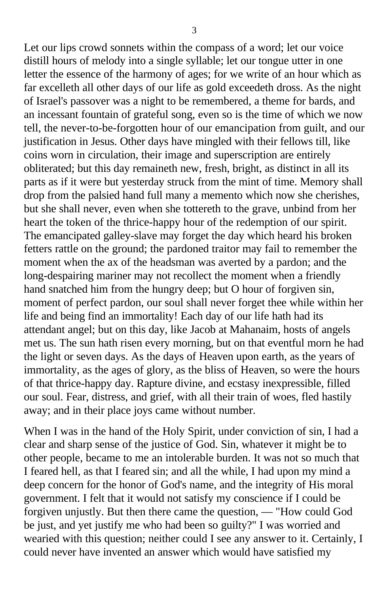Let our lips crowd sonnets within the compass of a word; let our voice distill hours of melody into a single syllable; let our tongue utter in one letter the essence of the harmony of ages; for we write of an hour which as far excelleth all other days of our life as gold exceedeth dross. As the night of Israel's passover was a night to be remembered, a theme for bards, and an incessant fountain of grateful song, even so is the time of which we now tell, the never-to-be-forgotten hour of our emancipation from guilt, and our justification in Jesus. Other days have mingled with their fellows till, like coins worn in circulation, their image and superscription are entirely obliterated; but this day remaineth new, fresh, bright, as distinct in all its parts as if it were but yesterday struck from the mint of time. Memory shall drop from the palsied hand full many a memento which now she cherishes, but she shall never, even when she tottereth to the grave, unbind from her heart the token of the thrice-happy hour of the redemption of our spirit. The emancipated galley-slave may forget the day which heard his broken fetters rattle on the ground; the pardoned traitor may fail to remember the moment when the ax of the headsman was averted by a pardon; and the long-despairing mariner may not recollect the moment when a friendly hand snatched him from the hungry deep; but O hour of forgiven sin, moment of perfect pardon, our soul shall never forget thee while within her life and being find an immortality! Each day of our life hath had its attendant angel; but on this day, like Jacob at Mahanaim, hosts of angels met us. The sun hath risen every morning, but on that eventful morn he had the light or seven days. As the days of Heaven upon earth, as the years of immortality, as the ages of glory, as the bliss of Heaven, so were the hours of that thrice-happy day. Rapture divine, and ecstasy inexpressible, filled our soul. Fear, distress, and grief, with all their train of woes, fled hastily away; and in their place joys came without number.

When I was in the hand of the Holy Spirit, under conviction of sin, I had a clear and sharp sense of the justice of God. Sin, whatever it might be to other people, became to me an intolerable burden. It was not so much that I feared hell, as that I feared sin; and all the while, I had upon my mind a deep concern for the honor of God's name, and the integrity of His moral government. I felt that it would not satisfy my conscience if I could be forgiven unjustly. But then there came the question, — "How could God be just, and yet justify me who had been so guilty?" I was worried and wearied with this question; neither could I see any answer to it. Certainly, I could never have invented an answer which would have satisfied my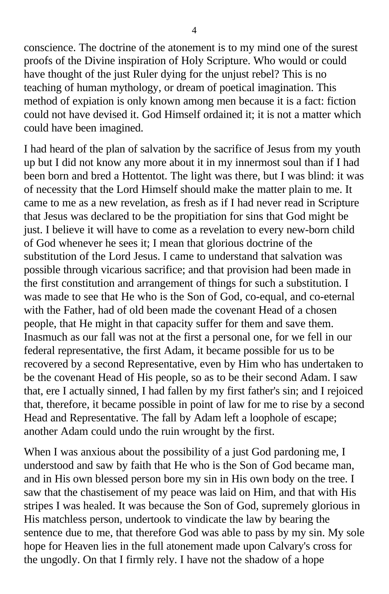conscience. The doctrine of the atonement is to my mind one of the surest proofs of the Divine inspiration of Holy Scripture. Who would or could have thought of the just Ruler dying for the unjust rebel? This is no teaching of human mythology, or dream of poetical imagination. This method of expiation is only known among men because it is a fact: fiction could not have devised it. God Himself ordained it; it is not a matter which could have been imagined.

I had heard of the plan of salvation by the sacrifice of Jesus from my youth up but I did not know any more about it in my innermost soul than if I had been born and bred a Hottentot. The light was there, but I was blind: it was of necessity that the Lord Himself should make the matter plain to me. It came to me as a new revelation, as fresh as if I had never read in Scripture that Jesus was declared to be the propitiation for sins that God might be just. I believe it will have to come as a revelation to every new-born child of God whenever he sees it; I mean that glorious doctrine of the substitution of the Lord Jesus. I came to understand that salvation was possible through vicarious sacrifice; and that provision had been made in the first constitution and arrangement of things for such a substitution. I was made to see that He who is the Son of God, co-equal, and co-eternal with the Father, had of old been made the covenant Head of a chosen people, that He might in that capacity suffer for them and save them. Inasmuch as our fall was not at the first a personal one, for we fell in our federal representative, the first Adam, it became possible for us to be recovered by a second Representative, even by Him who has undertaken to be the covenant Head of His people, so as to be their second Adam. I saw that, ere I actually sinned, I had fallen by my first father's sin; and I rejoiced that, therefore, it became possible in point of law for me to rise by a second Head and Representative. The fall by Adam left a loophole of escape; another Adam could undo the ruin wrought by the first.

When I was anxious about the possibility of a just God pardoning me, I understood and saw by faith that He who is the Son of God became man, and in His own blessed person bore my sin in His own body on the tree. I saw that the chastisement of my peace was laid on Him, and that with His stripes I was healed. It was because the Son of God, supremely glorious in His matchless person, undertook to vindicate the law by bearing the sentence due to me, that therefore God was able to pass by my sin. My sole hope for Heaven lies in the full atonement made upon Calvary's cross for the ungodly. On that I firmly rely. I have not the shadow of a hope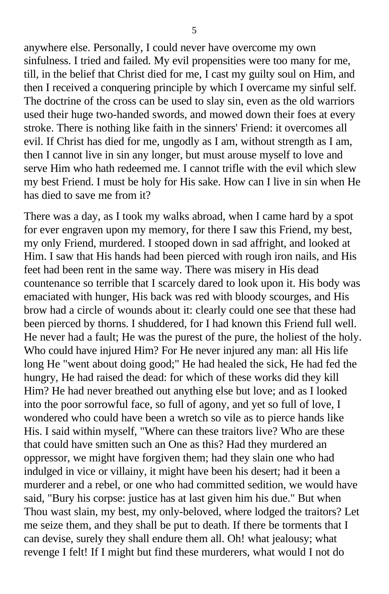anywhere else. Personally, I could never have overcome my own sinfulness. I tried and failed. My evil propensities were too many for me, till, in the belief that Christ died for me, I cast my guilty soul on Him, and then I received a conquering principle by which I overcame my sinful self. The doctrine of the cross can be used to slay sin, even as the old warriors used their huge two-handed swords, and mowed down their foes at every stroke. There is nothing like faith in the sinners' Friend: it overcomes all evil. If Christ has died for me, ungodly as I am, without strength as I am, then I cannot live in sin any longer, but must arouse myself to love and serve Him who hath redeemed me. I cannot trifle with the evil which slew my best Friend. I must be holy for His sake. How can I live in sin when He has died to save me from it?

There was a day, as I took my walks abroad, when I came hard by a spot for ever engraven upon my memory, for there I saw this Friend, my best, my only Friend, murdered. I stooped down in sad affright, and looked at Him. I saw that His hands had been pierced with rough iron nails, and His feet had been rent in the same way. There was misery in His dead countenance so terrible that I scarcely dared to look upon it. His body was emaciated with hunger, His back was red with bloody scourges, and His brow had a circle of wounds about it: clearly could one see that these had been pierced by thorns. I shuddered, for I had known this Friend full well. He never had a fault; He was the purest of the pure, the holiest of the holy. Who could have injured Him? For He never injured any man: all His life long He "went about doing good;" He had healed the sick, He had fed the hungry, He had raised the dead: for which of these works did they kill Him? He had never breathed out anything else but love; and as I looked into the poor sorrowful face, so full of agony, and yet so full of love, I wondered who could have been a wretch so vile as to pierce hands like His. I said within myself, "Where can these traitors live? Who are these that could have smitten such an One as this? Had they murdered an oppressor, we might have forgiven them; had they slain one who had indulged in vice or villainy, it might have been his desert; had it been a murderer and a rebel, or one who had committed sedition, we would have said, "Bury his corpse: justice has at last given him his due." But when Thou wast slain, my best, my only-beloved, where lodged the traitors? Let me seize them, and they shall be put to death. If there be torments that I can devise, surely they shall endure them all. Oh! what jealousy; what revenge I felt! If I might but find these murderers, what would I not do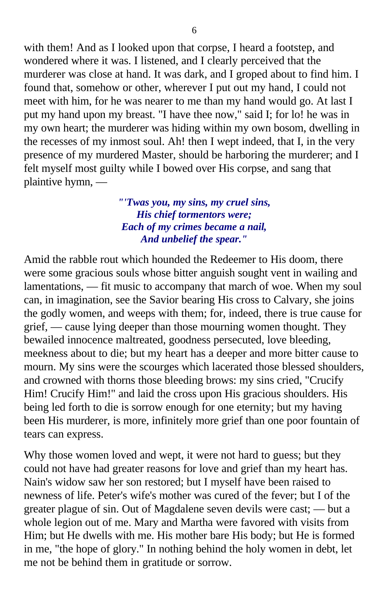with them! And as I looked upon that corpse, I heard a footstep, and wondered where it was. I listened, and I clearly perceived that the murderer was close at hand. It was dark, and I groped about to find him. I found that, somehow or other, wherever I put out my hand, I could not meet with him, for he was nearer to me than my hand would go. At last I put my hand upon my breast. "I have thee now," said I; for lo! he was in my own heart; the murderer was hiding within my own bosom, dwelling in the recesses of my inmost soul. Ah! then I wept indeed, that I, in the very presence of my murdered Master, should be harboring the murderer; and I felt myself most guilty while I bowed over His corpse, and sang that plaintive hymn, —

> *"'Twas you, my sins, my cruel sins, His chief tormentors were; Each of my crimes became a nail, And unbelief the spear."*

Amid the rabble rout which hounded the Redeemer to His doom, there were some gracious souls whose bitter anguish sought vent in wailing and lamentations, — fit music to accompany that march of woe. When my soul can, in imagination, see the Savior bearing His cross to Calvary, she joins the godly women, and weeps with them; for, indeed, there is true cause for grief, — cause lying deeper than those mourning women thought. They bewailed innocence maltreated, goodness persecuted, love bleeding, meekness about to die; but my heart has a deeper and more bitter cause to mourn. My sins were the scourges which lacerated those blessed shoulders, and crowned with thorns those bleeding brows: my sins cried, "Crucify Him! Crucify Him!" and laid the cross upon His gracious shoulders. His being led forth to die is sorrow enough for one eternity; but my having been His murderer, is more, infinitely more grief than one poor fountain of tears can express.

Why those women loved and wept, it were not hard to guess; but they could not have had greater reasons for love and grief than my heart has. Nain's widow saw her son restored; but I myself have been raised to newness of life. Peter's wife's mother was cured of the fever; but I of the greater plague of sin. Out of Magdalene seven devils were cast; — but a whole legion out of me. Mary and Martha were favored with visits from Him; but He dwells with me. His mother bare His body; but He is formed in me, "the hope of glory." In nothing behind the holy women in debt, let me not be behind them in gratitude or sorrow.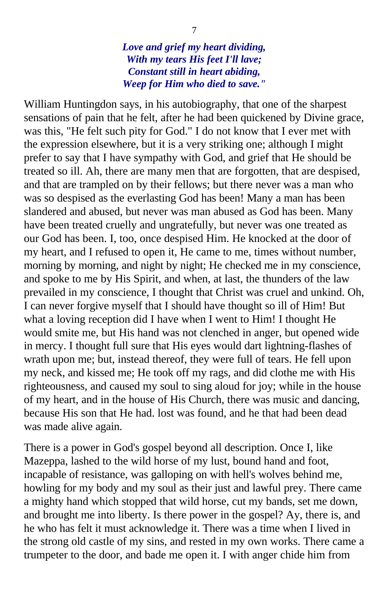*Love and grief my heart dividing, With my tears His feet I'll lave; Constant still in heart abiding, Weep for Him who died to save."*

William Huntingdon says, in his autobiography, that one of the sharpest sensations of pain that he felt, after he had been quickened by Divine grace, was this, "He felt such pity for God." I do not know that I ever met with the expression elsewhere, but it is a very striking one; although I might prefer to say that I have sympathy with God, and grief that He should be treated so ill. Ah, there are many men that are forgotten, that are despised, and that are trampled on by their fellows; but there never was a man who was so despised as the everlasting God has been! Many a man has been slandered and abused, but never was man abused as God has been. Many have been treated cruelly and ungratefully, but never was one treated as our God has been. I, too, once despised Him. He knocked at the door of my heart, and I refused to open it, He came to me, times without number, morning by morning, and night by night; He checked me in my conscience, and spoke to me by His Spirit, and when, at last, the thunders of the law prevailed in my conscience, I thought that Christ was cruel and unkind. Oh, I can never forgive myself that I should have thought so ill of Him! But what a loving reception did I have when I went to Him! I thought He would smite me, but His hand was not clenched in anger, but opened wide in mercy. I thought full sure that His eyes would dart lightning-flashes of wrath upon me; but, instead thereof, they were full of tears. He fell upon my neck, and kissed me; He took off my rags, and did clothe me with His righteousness, and caused my soul to sing aloud for joy; while in the house of my heart, and in the house of His Church, there was music and dancing, because His son that He had. lost was found, and he that had been dead was made alive again.

There is a power in God's gospel beyond all description. Once I, like Mazeppa, lashed to the wild horse of my lust, bound hand and foot, incapable of resistance, was galloping on with hell's wolves behind me, howling for my body and my soul as their just and lawful prey. There came a mighty hand which stopped that wild horse, cut my bands, set me down, and brought me into liberty. Is there power in the gospel? Ay, there is, and he who has felt it must acknowledge it. There was a time when I lived in the strong old castle of my sins, and rested in my own works. There came a trumpeter to the door, and bade me open it. I with anger chide him from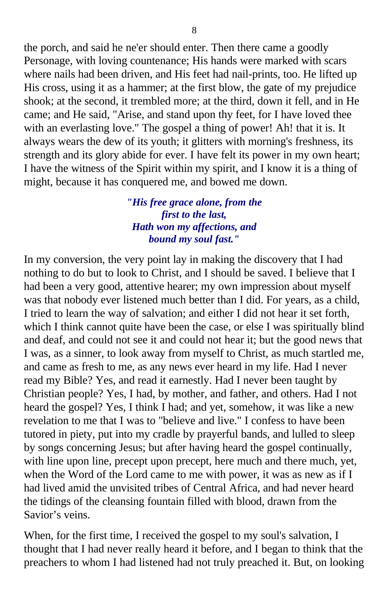the porch, and said he ne'er should enter. Then there came a goodly Personage, with loving countenance; His hands were marked with scars where nails had been driven, and His feet had nail-prints, too. He lifted up His cross, using it as a hammer; at the first blow, the gate of my prejudice shook; at the second, it trembled more; at the third, down it fell, and in He came; and He said, "Arise, and stand upon thy feet, for I have loved thee with an everlasting love." The gospel a thing of power! Ah! that it is. It always wears the dew of its youth; it glitters with morning's freshness, its strength and its glory abide for ever. I have felt its power in my own heart; I have the witness of the Spirit within my spirit, and I know it is a thing of might, because it has conquered me, and bowed me down.

# *"His free grace alone, from the first to the last, Hath won my affections, and bound my soul fast."*

In my conversion, the very point lay in making the discovery that I had nothing to do but to look to Christ, and I should be saved. I believe that I had been a very good, attentive hearer; my own impression about myself was that nobody ever listened much better than I did. For years, as a child, I tried to learn the way of salvation; and either I did not hear it set forth, which I think cannot quite have been the case, or else I was spiritually blind and deaf, and could not see it and could not hear it; but the good news that I was, as a sinner, to look away from myself to Christ, as much startled me, and came as fresh to me, as any news ever heard in my life. Had I never read my Bible? Yes, and read it earnestly. Had I never been taught by Christian people? Yes, I had, by mother, and father, and others. Had I not heard the gospel? Yes, I think I had; and yet, somehow, it was like a new revelation to me that I was to "believe and live." I confess to have been tutored in piety, put into my cradle by prayerful bands, and lulled to sleep by songs concerning Jesus; but after having heard the gospel continually, with line upon line, precept upon precept, here much and there much, yet, when the Word of the Lord came to me with power, it was as new as if I had lived amid the unvisited tribes of Central Africa, and had never heard the tidings of the cleansing fountain filled with blood, drawn from the Savior's veins.

When, for the first time, I received the gospel to my soul's salvation, I thought that I had never really heard it before, and I began to think that the preachers to whom I had listened had not truly preached it. But, on looking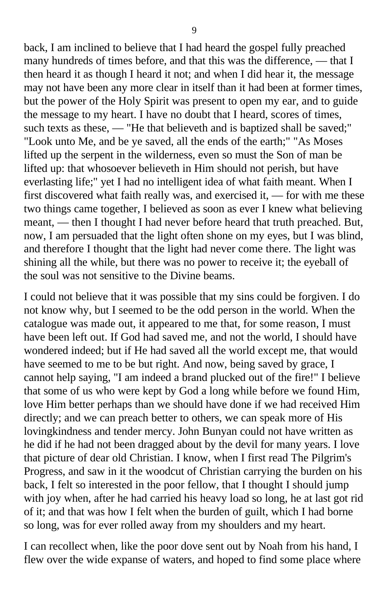back, I am inclined to believe that I had heard the gospel fully preached many hundreds of times before, and that this was the difference, — that I then heard it as though I heard it not; and when I did hear it, the message may not have been any more clear in itself than it had been at former times, but the power of the Holy Spirit was present to open my ear, and to guide the message to my heart. I have no doubt that I heard, scores of times, such texts as these, — "He that believeth and is baptized shall be saved;" "Look unto Me, and be ye saved, all the ends of the earth;" "As Moses lifted up the serpent in the wilderness, even so must the Son of man be lifted up: that whosoever believeth in Him should not perish, but have everlasting life;" yet I had no intelligent idea of what faith meant. When I first discovered what faith really was, and exercised it, — for with me these two things came together, I believed as soon as ever I knew what believing meant, — then I thought I had never before heard that truth preached. But, now, I am persuaded that the light often shone on my eyes, but I was blind, and therefore I thought that the light had never come there. The light was shining all the while, but there was no power to receive it; the eyeball of the soul was not sensitive to the Divine beams.

I could not believe that it was possible that my sins could be forgiven. I do not know why, but I seemed to be the odd person in the world. When the catalogue was made out, it appeared to me that, for some reason, I must have been left out. If God had saved me, and not the world, I should have wondered indeed; but if He had saved all the world except me, that would have seemed to me to be but right. And now, being saved by grace, I cannot help saying, "I am indeed a brand plucked out of the fire!" I believe that some of us who were kept by God a long while before we found Him, love Him better perhaps than we should have done if we had received Him directly; and we can preach better to others, we can speak more of His lovingkindness and tender mercy. John Bunyan could not have written as he did if he had not been dragged about by the devil for many years. I love that picture of dear old Christian. I know, when I first read The Pilgrim's Progress, and saw in it the woodcut of Christian carrying the burden on his back, I felt so interested in the poor fellow, that I thought I should jump with joy when, after he had carried his heavy load so long, he at last got rid of it; and that was how I felt when the burden of guilt, which I had borne so long, was for ever rolled away from my shoulders and my heart.

I can recollect when, like the poor dove sent out by Noah from his hand, I flew over the wide expanse of waters, and hoped to find some place where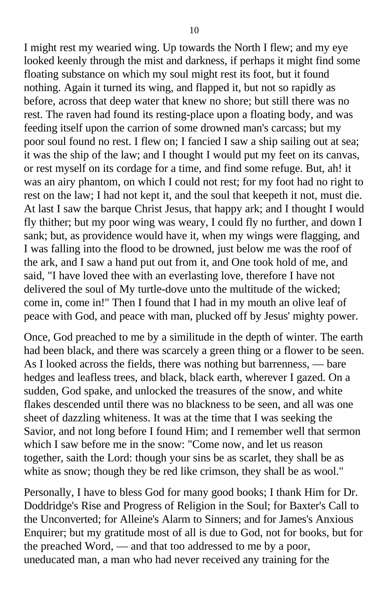I might rest my wearied wing. Up towards the North I flew; and my eye looked keenly through the mist and darkness, if perhaps it might find some floating substance on which my soul might rest its foot, but it found nothing. Again it turned its wing, and flapped it, but not so rapidly as before, across that deep water that knew no shore; but still there was no rest. The raven had found its resting-place upon a floating body, and was feeding itself upon the carrion of some drowned man's carcass; but my poor soul found no rest. I flew on; I fancied I saw a ship sailing out at sea; it was the ship of the law; and I thought I would put my feet on its canvas, or rest myself on its cordage for a time, and find some refuge. But, ah! it was an airy phantom, on which I could not rest; for my foot had no right to rest on the law; I had not kept it, and the soul that keepeth it not, must die. At last I saw the barque Christ Jesus, that happy ark; and I thought I would fly thither; but my poor wing was weary, I could fly no further, and down I sank; but, as providence would have it, when my wings were flagging, and I was falling into the flood to be drowned, just below me was the roof of the ark, and I saw a hand put out from it, and One took hold of me, and said, "I have loved thee with an everlasting love, therefore I have not delivered the soul of My turtle-dove unto the multitude of the wicked; come in, come in!" Then I found that I had in my mouth an olive leaf of peace with God, and peace with man, plucked off by Jesus' mighty power.

Once, God preached to me by a similitude in the depth of winter. The earth had been black, and there was scarcely a green thing or a flower to be seen. As I looked across the fields, there was nothing but barrenness, — bare hedges and leafless trees, and black, black earth, wherever I gazed. On a sudden, God spake, and unlocked the treasures of the snow, and white flakes descended until there was no blackness to be seen, and all was one sheet of dazzling whiteness. It was at the time that I was seeking the Savior, and not long before I found Him; and I remember well that sermon which I saw before me in the snow: "Come now, and let us reason together, saith the Lord: though your sins be as scarlet, they shall be as white as snow; though they be red like crimson, they shall be as wool."

Personally, I have to bless God for many good books; I thank Him for Dr. Doddridge's Rise and Progress of Religion in the Soul; for Baxter's Call to the Unconverted; for Alleine's Alarm to Sinners; and for James's Anxious Enquirer; but my gratitude most of all is due to God, not for books, but for the preached Word, — and that too addressed to me by a poor, uneducated man, a man who had never received any training for the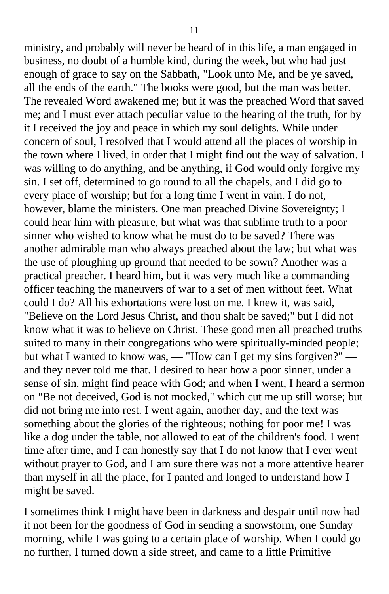ministry, and probably will never be heard of in this life, a man engaged in business, no doubt of a humble kind, during the week, but who had just enough of grace to say on the Sabbath, "Look unto Me, and be ye saved, all the ends of the earth." The books were good, but the man was better. The revealed Word awakened me; but it was the preached Word that saved me; and I must ever attach peculiar value to the hearing of the truth, for by it I received the joy and peace in which my soul delights. While under concern of soul, I resolved that I would attend all the places of worship in the town where I lived, in order that I might find out the way of salvation. I was willing to do anything, and be anything, if God would only forgive my sin. I set off, determined to go round to all the chapels, and I did go to every place of worship; but for a long time I went in vain. I do not, however, blame the ministers. One man preached Divine Sovereignty; I could hear him with pleasure, but what was that sublime truth to a poor sinner who wished to know what he must do to be saved? There was another admirable man who always preached about the law; but what was the use of ploughing up ground that needed to be sown? Another was a practical preacher. I heard him, but it was very much like a commanding officer teaching the maneuvers of war to a set of men without feet. What could I do? All his exhortations were lost on me. I knew it, was said, "Believe on the Lord Jesus Christ, and thou shalt be saved;" but I did not know what it was to believe on Christ. These good men all preached truths suited to many in their congregations who were spiritually-minded people; but what I wanted to know was, — "How can I get my sins forgiven?" and they never told me that. I desired to hear how a poor sinner, under a sense of sin, might find peace with God; and when I went, I heard a sermon on "Be not deceived, God is not mocked," which cut me up still worse; but did not bring me into rest. I went again, another day, and the text was something about the glories of the righteous; nothing for poor me! I was like a dog under the table, not allowed to eat of the children's food. I went time after time, and I can honestly say that I do not know that I ever went without prayer to God, and I am sure there was not a more attentive hearer than myself in all the place, for I panted and longed to understand how I might be saved.

I sometimes think I might have been in darkness and despair until now had it not been for the goodness of God in sending a snowstorm, one Sunday morning, while I was going to a certain place of worship. When I could go no further, I turned down a side street, and came to a little Primitive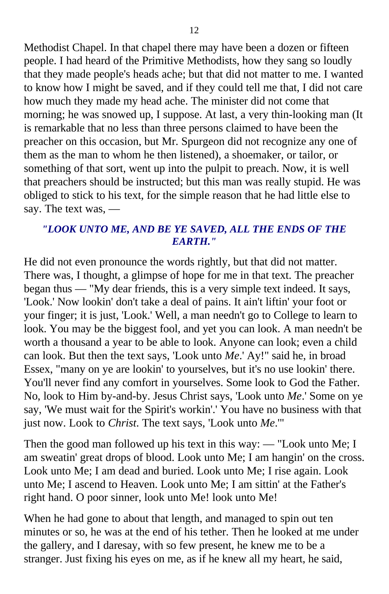Methodist Chapel. In that chapel there may have been a dozen or fifteen people. I had heard of the Primitive Methodists, how they sang so loudly that they made people's heads ache; but that did not matter to me. I wanted to know how I might be saved, and if they could tell me that, I did not care how much they made my head ache. The minister did not come that morning; he was snowed up, I suppose. At last, a very thin-looking man (It is remarkable that no less than three persons claimed to have been the preacher on this occasion, but Mr. Spurgeon did not recognize any one of them as the man to whom he then listened), a shoemaker, or tailor, or something of that sort, went up into the pulpit to preach. Now, it is well that preachers should be instructed; but this man was really stupid. He was obliged to stick to his text, for the simple reason that he had little else to say. The text was, —

## *"LOOK UNTO ME, AND BE YE SAVED, ALL THE ENDS OF THE EARTH."*

He did not even pronounce the words rightly, but that did not matter. There was, I thought, a glimpse of hope for me in that text. The preacher began thus — "My dear friends, this is a very simple text indeed. It says, 'Look.' Now lookin' don't take a deal of pains. It ain't liftin' your foot or your finger; it is just, 'Look.' Well, a man needn't go to College to learn to look. You may be the biggest fool, and yet you can look. A man needn't be worth a thousand a year to be able to look. Anyone can look; even a child can look. But then the text says, 'Look unto *Me*.' Ay!" said he, in broad Essex, "many on ye are lookin' to yourselves, but it's no use lookin' there. You'll never find any comfort in yourselves. Some look to God the Father. No, look to Him by-and-by. Jesus Christ says, 'Look unto *Me*.' Some on ye say, 'We must wait for the Spirit's workin'.' You have no business with that just now. Look to *Christ*. The text says, 'Look unto *Me*.'"

Then the good man followed up his text in this way: — "Look unto Me; I am sweatin' great drops of blood. Look unto Me; I am hangin' on the cross. Look unto Me; I am dead and buried. Look unto Me; I rise again. Look unto Me; I ascend to Heaven. Look unto Me; I am sittin' at the Father's right hand. O poor sinner, look unto Me! look unto Me!

When he had gone to about that length, and managed to spin out ten minutes or so, he was at the end of his tether. Then he looked at me under the gallery, and I daresay, with so few present, he knew me to be a stranger. Just fixing his eyes on me, as if he knew all my heart, he said,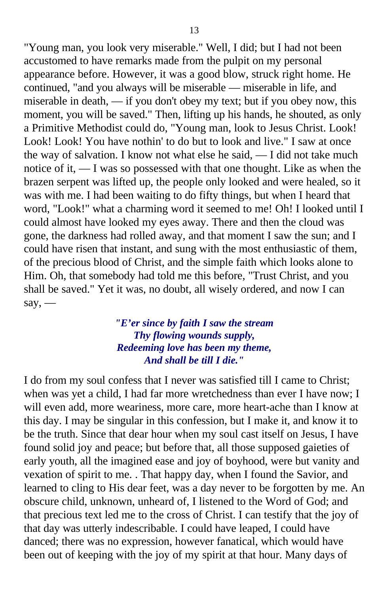"Young man, you look very miserable." Well, I did; but I had not been accustomed to have remarks made from the pulpit on my personal appearance before. However, it was a good blow, struck right home. He continued, "and you always will be miserable — miserable in life, and miserable in death, — if you don't obey my text; but if you obey now, this moment, you will be saved." Then, lifting up his hands, he shouted, as only a Primitive Methodist could do, "Young man, look to Jesus Christ. Look! Look! Look! You have nothin' to do but to look and live." I saw at once the way of salvation. I know not what else he said, — I did not take much notice of it, — I was so possessed with that one thought. Like as when the brazen serpent was lifted up, the people only looked and were healed, so it was with me. I had been waiting to do fifty things, but when I heard that word, "Look!" what a charming word it seemed to me! Oh! I looked until I could almost have looked my eyes away. There and then the cloud was gone, the darkness had rolled away, and that moment I saw the sun; and I could have risen that instant, and sung with the most enthusiastic of them, of the precious blood of Christ, and the simple faith which looks alone to Him. Oh, that somebody had told me this before, "Trust Christ, and you shall be saved." Yet it was, no doubt, all wisely ordered, and now I can  $say, -$ 

# *"E'er since by faith I saw the stream Thy flowing wounds supply, Redeeming love has been my theme, And shall be till I die."*

I do from my soul confess that I never was satisfied till I came to Christ; when was yet a child, I had far more wretchedness than ever I have now; I will even add, more weariness, more care, more heart-ache than I know at this day. I may be singular in this confession, but I make it, and know it to be the truth. Since that dear hour when my soul cast itself on Jesus, I have found solid joy and peace; but before that, all those supposed gaieties of early youth, all the imagined ease and joy of boyhood, were but vanity and vexation of spirit to me. . That happy day, when I found the Savior, and learned to cling to His dear feet, was a day never to be forgotten by me. An obscure child, unknown, unheard of, I listened to the Word of God; and that precious text led me to the cross of Christ. I can testify that the joy of that day was utterly indescribable. I could have leaped, I could have danced; there was no expression, however fanatical, which would have been out of keeping with the joy of my spirit at that hour. Many days of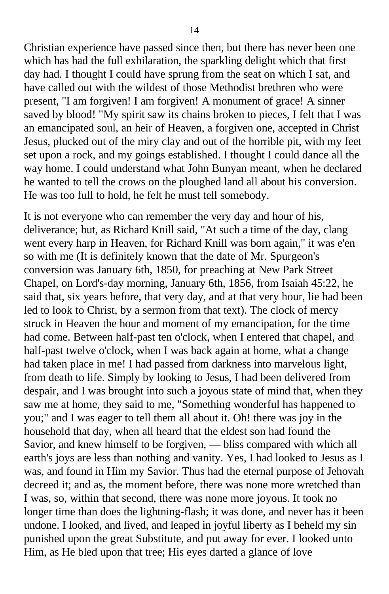Christian experience have passed since then, but there has never been one which has had the full exhilaration, the sparkling delight which that first day had. I thought I could have sprung from the seat on which I sat, and have called out with the wildest of those Methodist brethren who were present, "I am forgiven! I am forgiven! A monument of grace! A sinner saved by blood! "My spirit saw its chains broken to pieces, I felt that I was an emancipated soul, an heir of Heaven, a forgiven one, accepted in Christ Jesus, plucked out of the miry clay and out of the horrible pit, with my feet set upon a rock, and my goings established. I thought I could dance all the way home. I could understand what John Bunyan meant, when he declared he wanted to tell the crows on the ploughed land all about his conversion. He was too full to hold, he felt he must tell somebody.

It is not everyone who can remember the very day and hour of his, deliverance; but, as Richard Knill said, "At such a time of the day, clang went every harp in Heaven, for Richard Knill was born again," it was e'en so with me (It is definitely known that the date of Mr. Spurgeon's conversion was January 6th, 1850, for preaching at New Park Street Chapel, on Lord's-day morning, January 6th, 1856, from Isaiah 45:22, he said that, six years before, that very day, and at that very hour, lie had been led to look to Christ, by a sermon from that text). The clock of mercy struck in Heaven the hour and moment of my emancipation, for the time had come. Between half-past ten o'clock, when I entered that chapel, and half-past twelve o'clock, when I was back again at home, what a change had taken place in me! I had passed from darkness into marvelous light, from death to life. Simply by looking to Jesus, I had been delivered from despair, and I was brought into such a joyous state of mind that, when they saw me at home, they said to me, "Something wonderful has happened to you;" and I was eager to tell them all about it. Oh! there was joy in the household that day, when all heard that the eldest son had found the Savior, and knew himself to be forgiven, — bliss compared with which all earth's joys are less than nothing and vanity. Yes, I had looked to Jesus as I was, and found in Him my Savior. Thus had the eternal purpose of Jehovah decreed it; and as, the moment before, there was none more wretched than I was, so, within that second, there was none more joyous. It took no longer time than does the lightning-flash; it was done, and never has it been undone. I looked, and lived, and leaped in joyful liberty as I beheld my sin punished upon the great Substitute, and put away for ever. I looked unto Him, as He bled upon that tree; His eyes darted a glance of love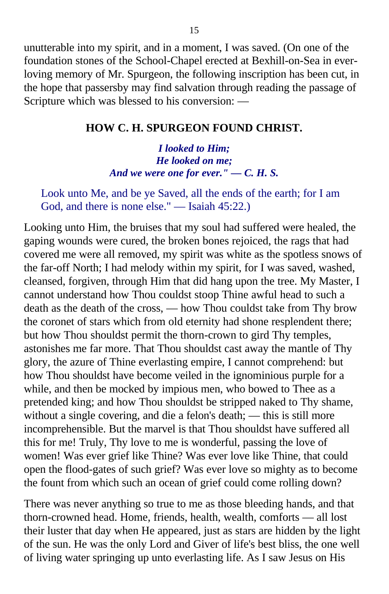unutterable into my spirit, and in a moment, I was saved. (On one of the foundation stones of the School-Chapel erected at Bexhill-on-Sea in everloving memory of Mr. Spurgeon, the following inscription has been cut, in the hope that passersby may find salvation through reading the passage of Scripture which was blessed to his conversion: —

### **HOW C. H. SPURGEON FOUND CHRIST.**

*I looked to Him; He looked on me; And we were one for ever." — C. H. S.*

Look unto Me, and be ye Saved, all the ends of the earth; for I am God, and there is none else." — Isaiah 45:22.)

Looking unto Him, the bruises that my soul had suffered were healed, the gaping wounds were cured, the broken bones rejoiced, the rags that had covered me were all removed, my spirit was white as the spotless snows of the far-off North; I had melody within my spirit, for I was saved, washed, cleansed, forgiven, through Him that did hang upon the tree. My Master, I cannot understand how Thou couldst stoop Thine awful head to such a death as the death of the cross, — how Thou couldst take from Thy brow the coronet of stars which from old eternity had shone resplendent there; but how Thou shouldst permit the thorn-crown to gird Thy temples, astonishes me far more. That Thou shouldst cast away the mantle of Thy glory, the azure of Thine everlasting empire, I cannot comprehend: but how Thou shouldst have become veiled in the ignominious purple for a while, and then be mocked by impious men, who bowed to Thee as a pretended king; and how Thou shouldst be stripped naked to Thy shame, without a single covering, and die a felon's death; — this is still more incomprehensible. But the marvel is that Thou shouldst have suffered all this for me! Truly, Thy love to me is wonderful, passing the love of women! Was ever grief like Thine? Was ever love like Thine, that could open the flood-gates of such grief? Was ever love so mighty as to become the fount from which such an ocean of grief could come rolling down?

There was never anything so true to me as those bleeding hands, and that thorn-crowned head. Home, friends, health, wealth, comforts — all lost their luster that day when He appeared, just as stars are hidden by the light of the sun. He was the only Lord and Giver of life's best bliss, the one well of living water springing up unto everlasting life. As I saw Jesus on His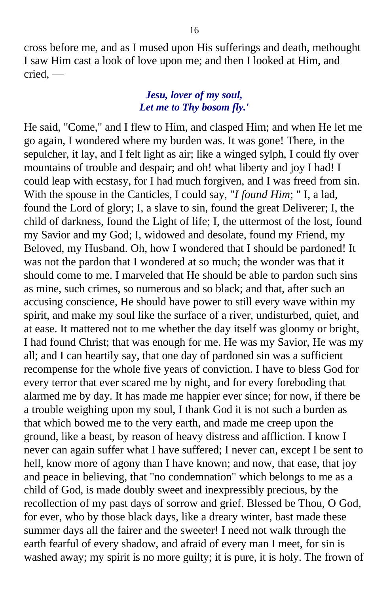cross before me, and as I mused upon His sufferings and death, methought I saw Him cast a look of love upon me; and then I looked at Him, and cried, —

#### *Jesu, lover of my soul, Let me to Thy bosom fly.'*

He said, "Come," and I flew to Him, and clasped Him; and when He let me go again, I wondered where my burden was. It was gone! There, in the sepulcher, it lay, and I felt light as air; like a winged sylph, I could fly over mountains of trouble and despair; and oh! what liberty and joy I had! I could leap with ecstasy, for I had much forgiven, and I was freed from sin. With the spouse in the Canticles, I could say, "*I found Him*; " I, a lad, found the Lord of glory; I, a slave to sin, found the great Deliverer; I, the child of darkness, found the Light of life; I, the uttermost of the lost, found my Savior and my God; I, widowed and desolate, found my Friend, my Beloved, my Husband. Oh, how I wondered that I should be pardoned! It was not the pardon that I wondered at so much; the wonder was that it should come to me. I marveled that He should be able to pardon such sins as mine, such crimes, so numerous and so black; and that, after such an accusing conscience, He should have power to still every wave within my spirit, and make my soul like the surface of a river, undisturbed, quiet, and at ease. It mattered not to me whether the day itself was gloomy or bright, I had found Christ; that was enough for me. He was my Savior, He was my all; and I can heartily say, that one day of pardoned sin was a sufficient recompense for the whole five years of conviction. I have to bless God for every terror that ever scared me by night, and for every foreboding that alarmed me by day. It has made me happier ever since; for now, if there be a trouble weighing upon my soul, I thank God it is not such a burden as that which bowed me to the very earth, and made me creep upon the ground, like a beast, by reason of heavy distress and affliction. I know I never can again suffer what I have suffered; I never can, except I be sent to hell, know more of agony than I have known; and now, that ease, that joy and peace in believing, that "no condemnation" which belongs to me as a child of God, is made doubly sweet and inexpressibly precious, by the recollection of my past days of sorrow and grief. Blessed be Thou, O God, for ever, who by those black days, like a dreary winter, bast made these summer days all the fairer and the sweeter! I need not walk through the earth fearful of every shadow, and afraid of every man I meet, for sin is washed away; my spirit is no more guilty; it is pure, it is holy. The frown of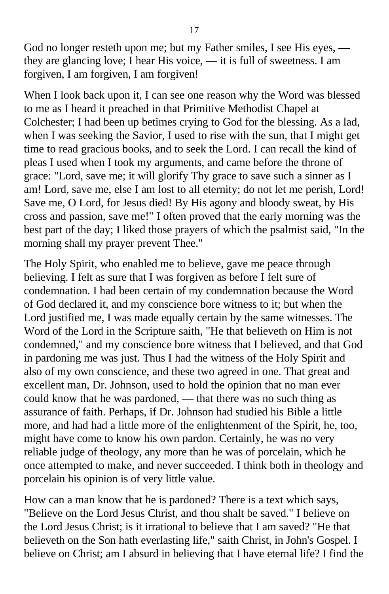God no longer resteth upon me; but my Father smiles, I see His eyes, they are glancing love; I hear His voice, — it is full of sweetness. I am forgiven, I am forgiven, I am forgiven!

When I look back upon it, I can see one reason why the Word was blessed to me as I heard it preached in that Primitive Methodist Chapel at Colchester; I had been up betimes crying to God for the blessing. As a lad, when I was seeking the Savior, I used to rise with the sun, that I might get time to read gracious books, and to seek the Lord. I can recall the kind of pleas I used when I took my arguments, and came before the throne of grace: "Lord, save me; it will glorify Thy grace to save such a sinner as I am! Lord, save me, else I am lost to all eternity; do not let me perish, Lord! Save me, O Lord, for Jesus died! By His agony and bloody sweat, by His cross and passion, save me!" I often proved that the early morning was the best part of the day; I liked those prayers of which the psalmist said, "In the morning shall my prayer prevent Thee."

The Holy Spirit, who enabled me to believe, gave me peace through believing. I felt as sure that I was forgiven as before I felt sure of condemnation. I had been certain of my condemnation because the Word of God declared it, and my conscience bore witness to it; but when the Lord justified me, I was made equally certain by the same witnesses. The Word of the Lord in the Scripture saith, "He that believeth on Him is not condemned," and my conscience bore witness that I believed, and that God in pardoning me was just. Thus I had the witness of the Holy Spirit and also of my own conscience, and these two agreed in one. That great and excellent man, Dr. Johnson, used to hold the opinion that no man ever could know that he was pardoned, — that there was no such thing as assurance of faith. Perhaps, if Dr. Johnson had studied his Bible a little more, and had had a little more of the enlightenment of the Spirit, he, too, might have come to know his own pardon. Certainly, he was no very reliable judge of theology, any more than he was of porcelain, which he once attempted to make, and never succeeded. I think both in theology and porcelain his opinion is of very little value.

How can a man know that he is pardoned? There is a text which says, "Believe on the Lord Jesus Christ, and thou shalt be saved." I believe on the Lord Jesus Christ; is it irrational to believe that I am saved? "He that believeth on the Son hath everlasting life," saith Christ, in John's Gospel. I believe on Christ; am I absurd in believing that I have eternal life? I find the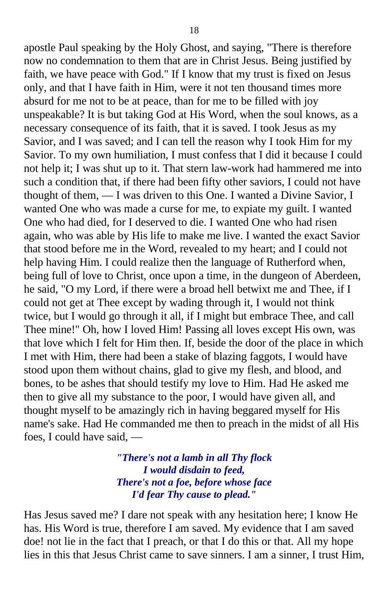apostle Paul speaking by the Holy Ghost, and saying, "There is therefore now no condemnation to them that are in Christ Jesus. Being justified by faith, we have peace with God." If I know that my trust is fixed on Jesus only, and that I have faith in Him, were it not ten thousand times more absurd for me not to be at peace, than for me to be filled with joy unspeakable? It is but taking God at His Word, when the soul knows, as a necessary consequence of its faith, that it is saved. I took Jesus as my Savior, and I was saved; and I can tell the reason why I took Him for my Savior. To my own humiliation, I must confess that I did it because I could not help it; I was shut up to it. That stern law-work had hammered me into such a condition that, if there had been fifty other saviors, I could not have thought of them, — I was driven to this One. I wanted a Divine Savior, I wanted One who was made a curse for me, to expiate my guilt. I wanted One who had died, for I deserved to die. I wanted One who had risen again, who was able by His life to make me live. I wanted the exact Savior that stood before me in the Word, revealed to my heart; and I could not help having Him. I could realize then the language of Rutherford when, being full of love to Christ, once upon a time, in the dungeon of Aberdeen, he said, "O my Lord, if there were a broad hell betwixt me and Thee, if I could not get at Thee except by wading through it, I would not think twice, but I would go through it all, if I might but embrace Thee, and call Thee mine!" Oh, how I loved Him! Passing all loves except His own, was that love which I felt for Him then. If, beside the door of the place in which I met with Him, there had been a stake of blazing faggots, I would have stood upon them without chains, glad to give my flesh, and blood, and bones, to be ashes that should testify my love to Him. Had He asked me then to give all my substance to the poor, I would have given all, and thought myself to be amazingly rich in having beggared myself for His name's sake. Had He commanded me then to preach in the midst of all His foes, I could have said, —

### *"There's not a lamb in all Thy flock I would disdain to feed, There's not a foe, before whose face I'd fear Thy cause to plead."*

Has Jesus saved me? I dare not speak with any hesitation here; I know He has. His Word is true, therefore I am saved. My evidence that I am saved doe! not lie in the fact that I preach, or that I do this or that. All my hope lies in this that Jesus Christ came to save sinners. I am a sinner, I trust Him,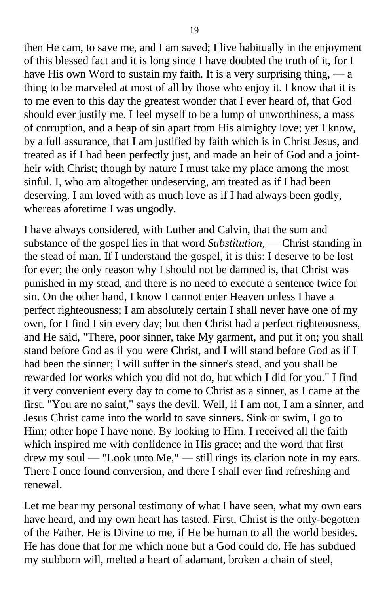then He cam, to save me, and I am saved; I live habitually in the enjoyment of this blessed fact and it is long since I have doubted the truth of it, for I have His own Word to sustain my faith. It is a very surprising thing, — a thing to be marveled at most of all by those who enjoy it. I know that it is to me even to this day the greatest wonder that I ever heard of, that God should ever justify me. I feel myself to be a lump of unworthiness, a mass of corruption, and a heap of sin apart from His almighty love; yet I know, by a full assurance, that I am justified by faith which is in Christ Jesus, and treated as if I had been perfectly just, and made an heir of God and a jointheir with Christ; though by nature I must take my place among the most sinful. I, who am altogether undeserving, am treated as if I had been deserving. I am loved with as much love as if I had always been godly, whereas aforetime I was ungodly.

I have always considered, with Luther and Calvin, that the sum and substance of the gospel lies in that word *Substitution*, — Christ standing in the stead of man. If I understand the gospel, it is this: I deserve to be lost for ever; the only reason why I should not be damned is, that Christ was punished in my stead, and there is no need to execute a sentence twice for sin. On the other hand, I know I cannot enter Heaven unless I have a perfect righteousness; I am absolutely certain I shall never have one of my own, for I find I sin every day; but then Christ had a perfect righteousness, and He said, "There, poor sinner, take My garment, and put it on; you shall stand before God as if you were Christ, and I will stand before God as if I had been the sinner; I will suffer in the sinner's stead, and you shall be rewarded for works which you did not do, but which I did for you." I find it very convenient every day to come to Christ as a sinner, as I came at the first. "You are no saint," says the devil. Well, if I am not, I am a sinner, and Jesus Christ came into the world to save sinners. Sink or swim, I go to Him; other hope I have none. By looking to Him, I received all the faith which inspired me with confidence in His grace; and the word that first drew my soul — "Look unto Me," — still rings its clarion note in my ears. There I once found conversion, and there I shall ever find refreshing and renewal.

Let me bear my personal testimony of what I have seen, what my own ears have heard, and my own heart has tasted. First, Christ is the only-begotten of the Father. He is Divine to me, if He be human to all the world besides. He has done that for me which none but a God could do. He has subdued my stubborn will, melted a heart of adamant, broken a chain of steel,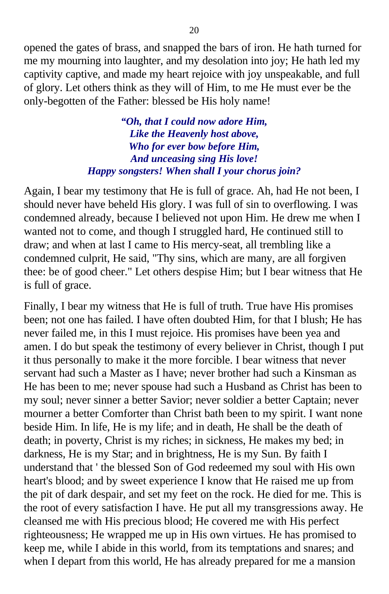opened the gates of brass, and snapped the bars of iron. He hath turned for me my mourning into laughter, and my desolation into joy; He hath led my captivity captive, and made my heart rejoice with joy unspeakable, and full of glory. Let others think as they will of Him, to me He must ever be the only-begotten of the Father: blessed be His holy name!

> *"Oh, that I could now adore Him, Like the Heavenly host above, Who for ever bow before Him, And unceasing sing His love! Happy songsters! When shall I your chorus join?*

Again, I bear my testimony that He is full of grace. Ah, had He not been, I should never have beheld His glory. I was full of sin to overflowing. I was condemned already, because I believed not upon Him. He drew me when I wanted not to come, and though I struggled hard, He continued still to draw; and when at last I came to His mercy-seat, all trembling like a condemned culprit, He said, "Thy sins, which are many, are all forgiven thee: be of good cheer." Let others despise Him; but I bear witness that He is full of grace.

Finally, I bear my witness that He is full of truth. True have His promises been; not one has failed. I have often doubted Him, for that I blush; He has never failed me, in this I must rejoice. His promises have been yea and amen. I do but speak the testimony of every believer in Christ, though I put it thus personally to make it the more forcible. I bear witness that never servant had such a Master as I have; never brother had such a Kinsman as He has been to me; never spouse had such a Husband as Christ has been to my soul; never sinner a better Savior; never soldier a better Captain; never mourner a better Comforter than Christ bath been to my spirit. I want none beside Him. In life, He is my life; and in death, He shall be the death of death; in poverty, Christ is my riches; in sickness, He makes my bed; in darkness, He is my Star; and in brightness, He is my Sun. By faith I understand that ' the blessed Son of God redeemed my soul with His own heart's blood; and by sweet experience I know that He raised me up from the pit of dark despair, and set my feet on the rock. He died for me. This is the root of every satisfaction I have. He put all my transgressions away. He cleansed me with His precious blood; He covered me with His perfect righteousness; He wrapped me up in His own virtues. He has promised to keep me, while I abide in this world, from its temptations and snares; and when I depart from this world, He has already prepared for me a mansion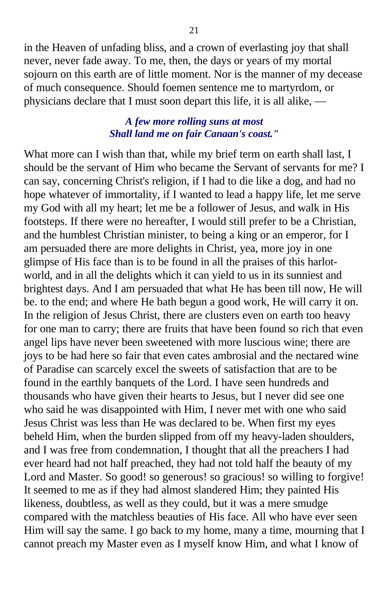in the Heaven of unfading bliss, and a crown of everlasting joy that shall never, never fade away. To me, then, the days or years of my mortal sojourn on this earth are of little moment. Nor is the manner of my decease of much consequence. Should foemen sentence me to martyrdom, or physicians declare that I must soon depart this life, it is all alike, —

### *A few more rolling suns at most Shall land me on fair Canaan's coast."*

What more can I wish than that, while my brief term on earth shall last, I should be the servant of Him who became the Servant of servants for me? I can say, concerning Christ's religion, if I had to die like a dog, and had no hope whatever of immortality, if I wanted to lead a happy life, let me serve my God with all my heart; let me be a follower of Jesus, and walk in His footsteps. If there were no hereafter, I would still prefer to be a Christian, and the humblest Christian minister, to being a king or an emperor, for I am persuaded there are more delights in Christ, yea, more joy in one glimpse of His face than is to be found in all the praises of this harlotworld, and in all the delights which it can yield to us in its sunniest and brightest days. And I am persuaded that what He has been till now, He will be. to the end; and where He bath begun a good work, He will carry it on. In the religion of Jesus Christ, there are clusters even on earth too heavy for one man to carry; there are fruits that have been found so rich that even angel lips have never been sweetened with more luscious wine; there are joys to be had here so fair that even cates ambrosial and the nectared wine of Paradise can scarcely excel the sweets of satisfaction that are to be found in the earthly banquets of the Lord. I have seen hundreds and thousands who have given their hearts to Jesus, but I never did see one who said he was disappointed with Him, I never met with one who said Jesus Christ was less than He was declared to be. When first my eyes beheld Him, when the burden slipped from off my heavy-laden shoulders, and I was free from condemnation, I thought that all the preachers I had ever heard had not half preached, they had not told half the beauty of my Lord and Master. So good! so generous! so gracious! so willing to forgive! It seemed to me as if they had almost slandered Him; they painted His likeness, doubtless, as well as they could, but it was a mere smudge compared with the matchless beauties of His face. All who have ever seen Him will say the same. I go back to my home, many a time, mourning that I cannot preach my Master even as I myself know Him, and what I know of